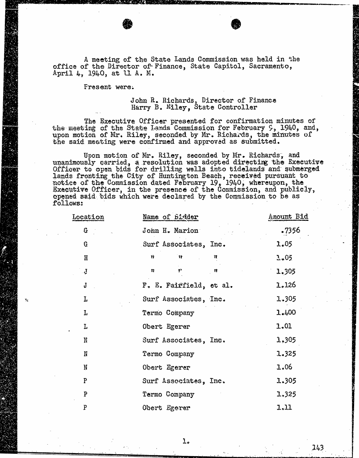A meeting of the State Lands Commission was held in the office of the Director of Finance, State Capitol, Sacramento, April 4,  $1940$ , at ll A. M.

Fresent were:

## John  $R_{\rm e}$  Richards, Director of Finance Harry B. Elley, State Cont

The Executive Officer presented for confirmation minutes of the meeting of the State Lands Commission for February 9, 1940, and, upon motion of Mr. Riley, seconded by Mr. Richards, the the said meeting were confirmed and approved as submitted.

Upon motion of Mr. Kiley, seconded by Mr. Richards, unanimously carried, a resolution was adopted directing the Officer to open bids for drilling wells into tidelands lands fronting the City of Huntington Beach, received pursuant to notice of the Commission dated February 19, 1940, whereup Executive Officer, in the presence of the Commission, and opened said bids which were declared by the Commission to be as follows:

| Location      | Name of Bidder                                                   | Amount Bid |
|---------------|------------------------------------------------------------------|------------|
| $\mathbb G$   | John H. Marion                                                   | .7356      |
| G             | Surf Associates, Inc.                                            | 1.05       |
| H             | $\gamma$<br>Û<br>行                                               | 3.05       |
| $\frac{1}{2}$ | $\mathcal{V}^{\star}_{\mathcal{X}}$<br>$\mathbf{f}^{\star}$<br>精 | 1.305      |
| J             | F. E. Fairfield, et al.                                          | 1.126      |
| L             | Surf Associates, Inc.                                            | 1.305      |
| L             | Termo Company                                                    | 1.400      |
| L             | Obert Egerer                                                     | 1.01       |
| N             | Surf Associates, Inc.                                            | 1,305      |
| N             | Termo Gompany                                                    | 1.325      |
| N             | Obert Egerer                                                     | 1.06       |
| P             | Surf Associates, Inc.                                            | 1.305      |
| P             | Termo Company                                                    | 1.325      |
| $\mathbf F$   | Obert Egerer                                                     | 1.11       |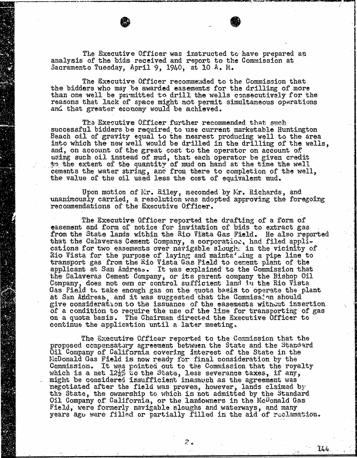The Executive Officer was instructed to have prepared an analysis of the bids received and report to the Commission at Sacramento Tuesday, April 9, 1940, at 10 A. M.

The Executive Officer recommended to the Commission that the bidders who may be awarded easements for the drilling of more than one well be permitted to drill the wells consecutively for the reasons that lack of space might not permit simultaneous operations and that greater economy would be achieved.

The Executive Officer further recommended that such successful bidders be required to use current marketable Huntington Beach oil of gravity equal to the nearest producing well into which the new well would be drilled in the drilling and, on account of the great cost to the operator on account of using such oil instead of mud, that each operator be given credit to the extent of the quantity of mud on hand at the time the well cements the water string, and from there to completion the value of the oil used less the cost of equivalent mud.

Upon motion of Mr. Riley, seconded by Mr. Richards, and unanimously carried, a resolution was adopted approving the foregoing recommendations of the Executive Officer.

The Executive Officer reported the drafting of a form of easement and form of notice for invitation of bids to extract gas from the State lands within the Rio Vista Gas Field. that the Calaveras Cement Company, a corporation, had filed cations for two easements over navigable slough in the vicinity of Rio Vista for the purpose of laying and mainta' ing a pipe line to transport gas from the Rio Vista Gas Field to cement plant of the second plant of the second plant of the second plant of the second plant of the second plant of the second plant of the second plant of the second plant of applicant at San Andreas. It was explained to the Commiss the Calaveras Cement Company, or its parent company the Bishop Oil Company, does not own or control sufficient land in the Rio Vista Gas Field to take enough gas on the quota basis to operate the plant at San Andreas, and it was suggested that the Commission should give consideration to the issuance of the easements without insertion of a condition to require the use of the line for transporting of gas on a quota basis. The Chairman directed the Executive Officer to continue the application until a later meeting.

The Executive Officer reported to the Commission that the proposed compensatory agreement between the State and the Standard Oil Company of California covering interest of the State in the FicDonald Gas Field is now ready for final consideration by the Commission. It was pointed out to the Commission that which is a net  $12\frac{1}{2}\%$  to the State, less severance tax might be considered insufficient inasmuch as the agreement was negotiated after the field was proven, however, lands claimed by the State, the ownership to which is not admitted by the Standard Oil Company of California, or the landowners in the McDonald Gas Field, were formerly navigable sloughs and waterways, and many years ago were filled or partially filled in the aid of reclamation.

 $\mathcal{Z}$  or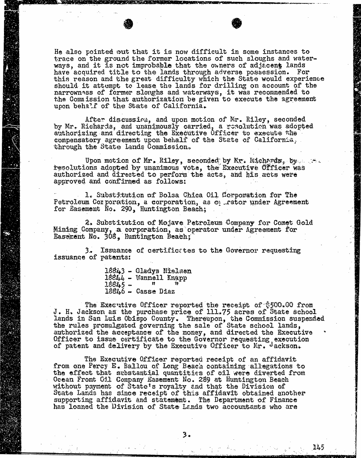He also pointed out that it is now difficult in some instances to trace on the ground the former locations of such sloughs and waterways, and it is not improbable that the owners of adjacent lands have acquired title to the lands through adverse possession. For this reason and the great difficulty which the State would experience this reason and the great difficulty which the State would should it attempt to lease the lands for drilling narrowness of former sloughs and waterways, it was recommended to the Commission that authorization be given to execute the agreement upon behalf of the State of California.

After discussion, and upon motion of Mr. Riley, seconded by Mr. Richards, and unanimously carried, a resolution was adopted authorizing and directing the Executive Officer to execute the compensatory agreement upon behalf of the State of Ga through the State Lands Commission.

Upon motion of Mr. Riley, seconded by Mr. Richards, by. ... ... authorized and directed to perform the acts, and his acts were approved and confirmed as follows:

1. Substitution of Bolsa Chica Oil Corporation for The Petroleum Corporation, a corporation, as  $\phi$  rator under Agreement for Easement No. 290, Huntington Beach;

2, Substitution of Mojave Petroleum Company for Comet Gold Mining Company, a corporation, as operator under Agreement for Easement No. 308, Huntington Beach;

3.. Issuance of certificates to the Governor requesting issuance of patents:

18843 - Gladys Nielsen  $18844 -$  Wannell Knapp  $18845 18846 -$  Casse Diaz

The Executive Officer reported the receipt of \$500.00 from J. H. Jackson as the purchase price of 1ll.75 acres of State school lands in San Luis Obispo County. Thereupon, the Commission suspended the rules promulgated governing the sale of State school lands, authorized the acceptance of the money, and directed the Executive Officer to issue certificate to the Governor requesting execution of patent and delivery by the Executive Officer to Mr. Jackson.

The Executive Officer reported receipt of an affidavit from one Percy E. Ballou of Long Beach containing allegations to the effect that substantial quantities of oil were diverted from Ocean Front Oil Company Easement No. 289 at Huntington Beach without payment of State's royalty and that the Division of State Lands has since receipt of this affidavit obtained another supporting affidavit and statement. The Department of Finance has loaned the Division of State Lands two accountants who are